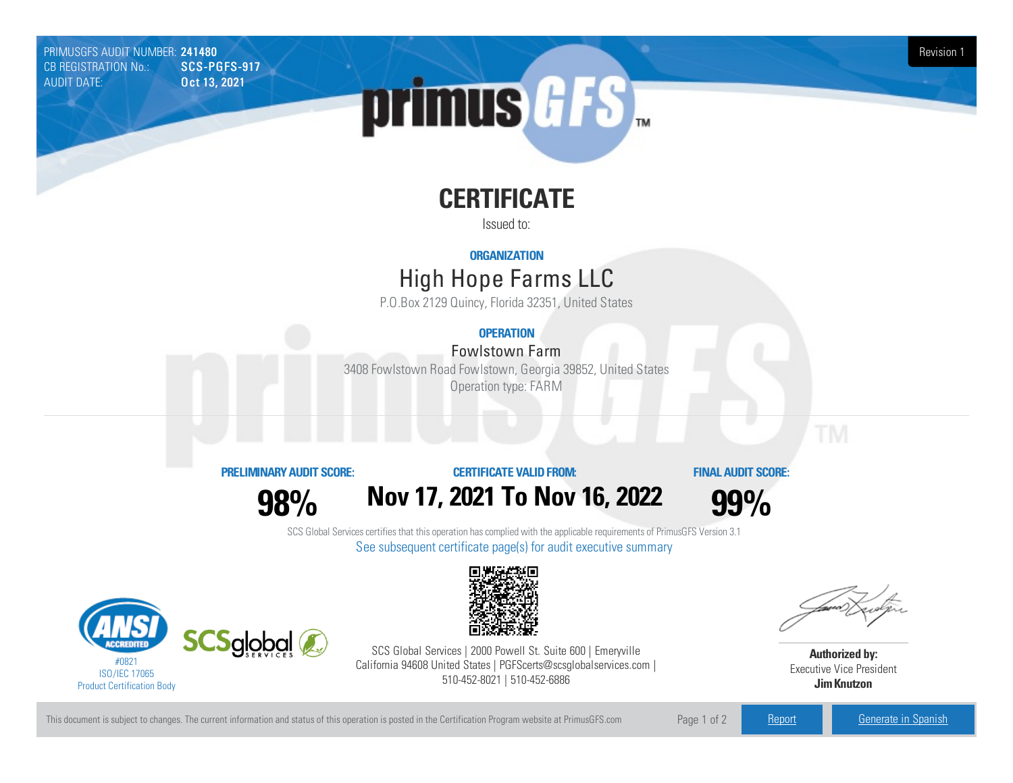PRIMUSGFS AUDIT NUMBER: 241480 Revision 1<br>CB REGISTRATION No.: CNCS-PGFS-917 CB REGISTRATION No.: AUDIT DATE: **Oct 13, 2021** 



# **CERTIFICATE**

Issued to:

### **ORGANIZATION**

## High Hope FarmsLLC

P.O.Box 2129 Quincy, Florida 32351, United States

## **OPERATION**

## Fowlstown Farm

3408 Fowlstown Road Fowlstown, Georgia 39852, United States Operation type: FARM

#### **PRELIMINARYAUDIT SCORE:**

**98%**

## **CERTIFICATE VALIDFROM: Nov17, 2021 To Nov16, 2022**

**FINAL AUDIT SCORE:**

**99%**

SCS Global Services certifies that this operation has complied with the applicable requirements of PrimusGFS Version 3.1 See subsequent certificate page(s) for audit executive summary





SCS Global Services | 2000 Powell St. Suite 600 | Emeryville California 94608 United States | PGFScerts@scsglobalservices.com | 510-452-8021 | 510-452-6886

**Authorized by:** Executive Vice President **JimKnutzon**

This document is subject to changes. The current information and status of this operation is posted in the Certification Program website at PrimusGFS.com Page 1 of 2 [Report](https://secure.azzule.com/PGFSDocuments/PGFS_AuditReport241480_880_1_EN.pdf) [Generate](https://secure.azzule.com/PrimusGFSAudits/pdfGenerator.aspx?AuditHeaderID=50107065234616376992784203021859221478187&AppId=15510051298&LanguageID=1&UserId=1) in Spanish